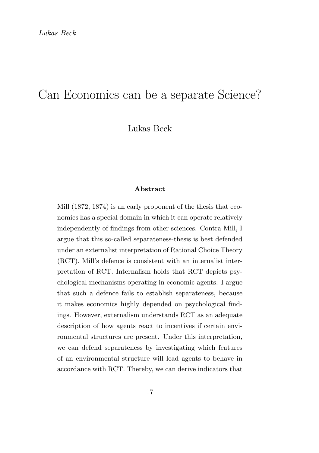# Can Economics can be a separate Science?

Lukas Beck

#### Abstract

Mill (1872, 1874) is an early proponent of the thesis that economics has a special domain in which it can operate relatively independently of findings from other sciences. Contra Mill, I argue that this so-called separateness-thesis is best defended under an externalist interpretation of Rational Choice Theory (RCT). Mill's defence is consistent with an internalist interpretation of RCT. Internalism holds that RCT depicts psychological mechanisms operating in economic agents. I argue that such a defence fails to establish separateness, because it makes economics highly depended on psychological findings. However, externalism understands RCT as an adequate description of how agents react to incentives if certain environmental structures are present. Under this interpretation, we can defend separateness by investigating which features of an environmental structure will lead agents to behave in accordance with RCT. Thereby, we can derive indicators that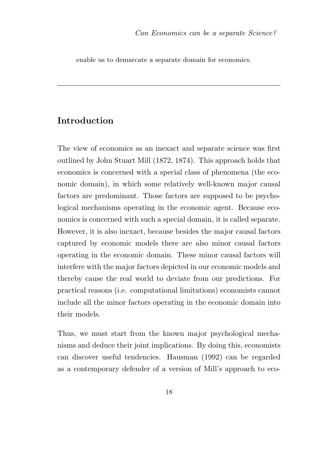enable us to demarcate a separate domain for economics.

# Introduction

The view of economics as an inexact and separate science was first outlined by John Stuart Mill (1872, 1874). This approach holds that economics is concerned with a special class of phenomena (the economic domain), in which some relatively well-known major causal factors are predominant. Those factors are supposed to be psychological mechanisms operating in the economic agent. Because economics is concerned with such a special domain, it is called separate. However, it is also inexact, because besides the major causal factors captured by economic models there are also minor causal factors operating in the economic domain. These minor causal factors will interfere with the major factors depicted in our economic models and thereby cause the real world to deviate from our predictions. For practical reasons (i.e. computational limitations) economists cannot include all the minor factors operating in the economic domain into their models.

Thus, we must start from the known major psychological mechanisms and deduce their joint implications. By doing this, economists can discover useful tendencies. Hausman (1992) can be regarded as a contemporary defender of a version of Mill's approach to eco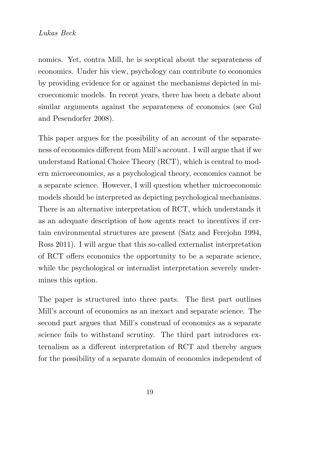nomics. Yet, contra Mill, he is sceptical about the separateness of economics. Under his view, psychology can contribute to economics by providing evidence for or against the mechanisms depicted in microeconomic models. In recent years, there has been a debate about similar arguments against the separateness of economics (see Gul and Pesendorfer 2008).

This paper argues for the possibility of an account of the separateness of economics different from Mill's account. I will argue that if we understand Rational Choice Theory (RCT), which is central to modern microeconomics, as a psychological theory, economics cannot be a separate science. However, I will question whether microeconomic models should be interpreted as depicting psychological mechanisms. There is an alternative interpretation of RCT, which understands it as an adequate description of how agents react to incentives if certain environmental structures are present (Satz and Ferejohn 1994, Ross 2011). I will argue that this so-called externalist interpretation of RCT offers economics the opportunity to be a separate science, while the psychological or internalist interpretation severely undermines this option.

The paper is structured into three parts. The first part outlines Mill's account of economics as an inexact and separate science. The second part argues that Mill's construal of economics as a separate science fails to withstand scrutiny. The third part introduces externalism as a different interpretation of RCT and thereby argues for the possibility of a separate domain of economics independent of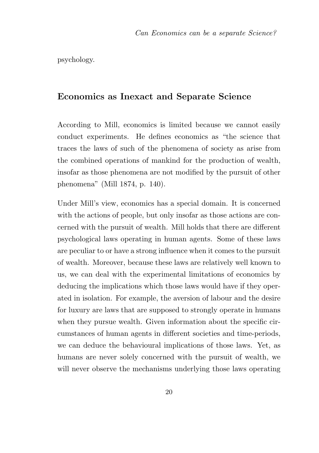psychology.

### Economics as Inexact and Separate Science

According to Mill, economics is limited because we cannot easily conduct experiments. He defines economics as "the science that traces the laws of such of the phenomena of society as arise from the combined operations of mankind for the production of wealth, insofar as those phenomena are not modified by the pursuit of other phenomena" (Mill 1874, p. 140).

Under Mill's view, economics has a special domain. It is concerned with the actions of people, but only insofar as those actions are concerned with the pursuit of wealth. Mill holds that there are different psychological laws operating in human agents. Some of these laws are peculiar to or have a strong influence when it comes to the pursuit of wealth. Moreover, because these laws are relatively well known to us, we can deal with the experimental limitations of economics by deducing the implications which those laws would have if they operated in isolation. For example, the aversion of labour and the desire for luxury are laws that are supposed to strongly operate in humans when they pursue wealth. Given information about the specific circumstances of human agents in different societies and time-periods, we can deduce the behavioural implications of those laws. Yet, as humans are never solely concerned with the pursuit of wealth, we will never observe the mechanisms underlying those laws operating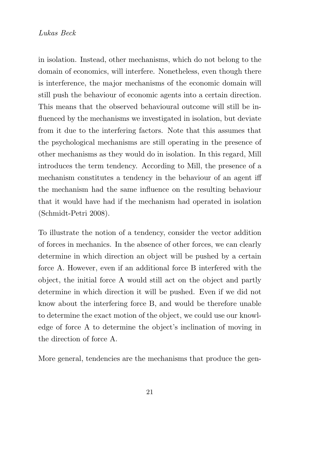in isolation. Instead, other mechanisms, which do not belong to the domain of economics, will interfere. Nonetheless, even though there is interference, the major mechanisms of the economic domain will still push the behaviour of economic agents into a certain direction. This means that the observed behavioural outcome will still be influenced by the mechanisms we investigated in isolation, but deviate from it due to the interfering factors. Note that this assumes that the psychological mechanisms are still operating in the presence of other mechanisms as they would do in isolation. In this regard, Mill introduces the term tendency. According to Mill, the presence of a mechanism constitutes a tendency in the behaviour of an agent iff the mechanism had the same influence on the resulting behaviour that it would have had if the mechanism had operated in isolation (Schmidt-Petri 2008).

To illustrate the notion of a tendency, consider the vector addition of forces in mechanics. In the absence of other forces, we can clearly determine in which direction an object will be pushed by a certain force A. However, even if an additional force B interfered with the object, the initial force A would still act on the object and partly determine in which direction it will be pushed. Even if we did not know about the interfering force B, and would be therefore unable to determine the exact motion of the object, we could use our knowledge of force A to determine the object's inclination of moving in the direction of force A.

More general, tendencies are the mechanisms that produce the gen-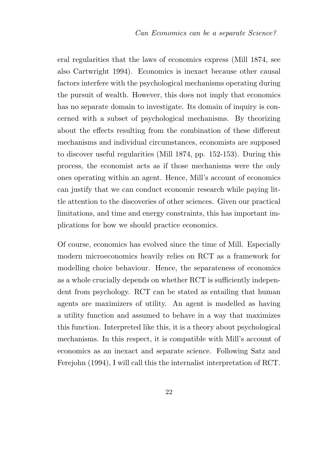eral regularities that the laws of economics express (Mill 1874, see also Cartwright 1994). Economics is inexact because other causal factors interfere with the psychological mechanisms operating during the pursuit of wealth. However, this does not imply that economics has no separate domain to investigate. Its domain of inquiry is concerned with a subset of psychological mechanisms. By theorizing about the effects resulting from the combination of these different mechanisms and individual circumstances, economists are supposed to discover useful regularities (Mill 1874, pp. 152-153). During this process, the economist acts as if those mechanisms were the only ones operating within an agent. Hence, Mill's account of economics can justify that we can conduct economic research while paying little attention to the discoveries of other sciences. Given our practical limitations, and time and energy constraints, this has important implications for how we should practice economics.

Of course, economics has evolved since the time of Mill. Especially modern microeconomics heavily relies on RCT as a framework for modelling choice behaviour. Hence, the separateness of economics as a whole crucially depends on whether RCT is sufficiently independent from psychology. RCT can be stated as entailing that human agents are maximizers of utility. An agent is modelled as having a utility function and assumed to behave in a way that maximizes this function. Interpreted like this, it is a theory about psychological mechanisms. In this respect, it is compatible with Mill's account of economics as an inexact and separate science. Following Satz and Ferejohn (1994), I will call this the internalist interpretation of RCT.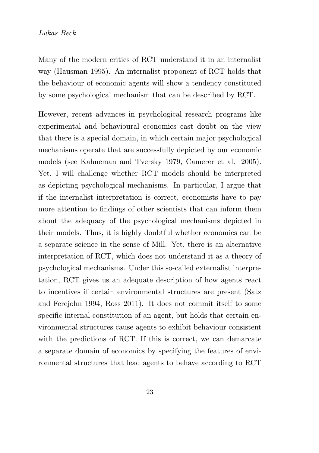Many of the modern critics of RCT understand it in an internalist way (Hausman 1995). An internalist proponent of RCT holds that the behaviour of economic agents will show a tendency constituted by some psychological mechanism that can be described by RCT.

However, recent advances in psychological research programs like experimental and behavioural economics cast doubt on the view that there is a special domain, in which certain major psychological mechanisms operate that are successfully depicted by our economic models (see Kahneman and Tversky 1979, Camerer et al. 2005). Yet, I will challenge whether RCT models should be interpreted as depicting psychological mechanisms. In particular, I argue that if the internalist interpretation is correct, economists have to pay more attention to findings of other scientists that can inform them about the adequacy of the psychological mechanisms depicted in their models. Thus, it is highly doubtful whether economics can be a separate science in the sense of Mill. Yet, there is an alternative interpretation of RCT, which does not understand it as a theory of psychological mechanisms. Under this so-called externalist interpretation, RCT gives us an adequate description of how agents react to incentives if certain environmental structures are present (Satz and Ferejohn 1994, Ross 2011). It does not commit itself to some specific internal constitution of an agent, but holds that certain environmental structures cause agents to exhibit behaviour consistent with the predictions of RCT. If this is correct, we can demarcate a separate domain of economics by specifying the features of environmental structures that lead agents to behave according to RCT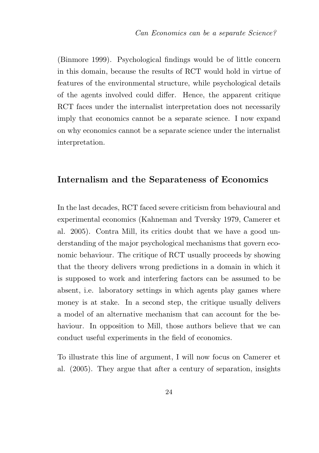(Binmore 1999). Psychological findings would be of little concern in this domain, because the results of RCT would hold in virtue of features of the environmental structure, while psychological details of the agents involved could differ. Hence, the apparent critique RCT faces under the internalist interpretation does not necessarily imply that economics cannot be a separate science. I now expand on why economics cannot be a separate science under the internalist interpretation.

### Internalism and the Separateness of Economics

In the last decades, RCT faced severe criticism from behavioural and experimental economics (Kahneman and Tversky 1979, Camerer et al. 2005). Contra Mill, its critics doubt that we have a good understanding of the major psychological mechanisms that govern economic behaviour. The critique of RCT usually proceeds by showing that the theory delivers wrong predictions in a domain in which it is supposed to work and interfering factors can be assumed to be absent, i.e. laboratory settings in which agents play games where money is at stake. In a second step, the critique usually delivers a model of an alternative mechanism that can account for the behaviour. In opposition to Mill, those authors believe that we can conduct useful experiments in the field of economics.

To illustrate this line of argument, I will now focus on Camerer et al. (2005). They argue that after a century of separation, insights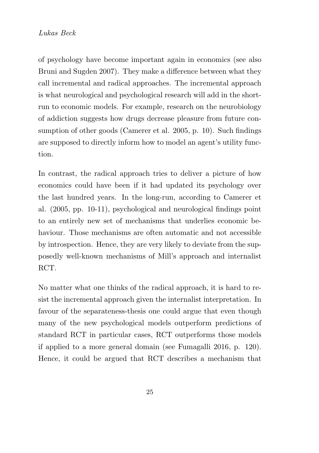of psychology have become important again in economics (see also Bruni and Sugden 2007). They make a difference between what they call incremental and radical approaches. The incremental approach is what neurological and psychological research will add in the shortrun to economic models. For example, research on the neurobiology of addiction suggests how drugs decrease pleasure from future consumption of other goods (Camerer et al. 2005, p. 10). Such findings are supposed to directly inform how to model an agent's utility function.

In contrast, the radical approach tries to deliver a picture of how economics could have been if it had updated its psychology over the last hundred years. In the long-run, according to Camerer et al. (2005, pp. 10-11), psychological and neurological findings point to an entirely new set of mechanisms that underlies economic behaviour. Those mechanisms are often automatic and not accessible by introspection. Hence, they are very likely to deviate from the supposedly well-known mechanisms of Mill's approach and internalist RCT.

No matter what one thinks of the radical approach, it is hard to resist the incremental approach given the internalist interpretation. In favour of the separateness-thesis one could argue that even though many of the new psychological models outperform predictions of standard RCT in particular cases, RCT outperforms those models if applied to a more general domain (see Fumagalli 2016, p. 120). Hence, it could be argued that RCT describes a mechanism that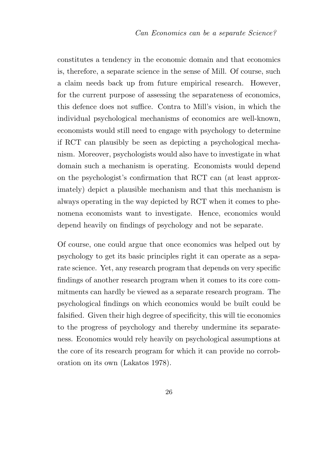constitutes a tendency in the economic domain and that economics is, therefore, a separate science in the sense of Mill. Of course, such a claim needs back up from future empirical research. However, for the current purpose of assessing the separateness of economics, this defence does not suffice. Contra to Mill's vision, in which the individual psychological mechanisms of economics are well-known, economists would still need to engage with psychology to determine if RCT can plausibly be seen as depicting a psychological mechanism. Moreover, psychologists would also have to investigate in what domain such a mechanism is operating. Economists would depend on the psychologist's confirmation that RCT can (at least approximately) depict a plausible mechanism and that this mechanism is always operating in the way depicted by RCT when it comes to phenomena economists want to investigate. Hence, economics would depend heavily on findings of psychology and not be separate.

Of course, one could argue that once economics was helped out by psychology to get its basic principles right it can operate as a separate science. Yet, any research program that depends on very specific findings of another research program when it comes to its core commitments can hardly be viewed as a separate research program. The psychological findings on which economics would be built could be falsified. Given their high degree of specificity, this will tie economics to the progress of psychology and thereby undermine its separateness. Economics would rely heavily on psychological assumptions at the core of its research program for which it can provide no corroboration on its own (Lakatos 1978).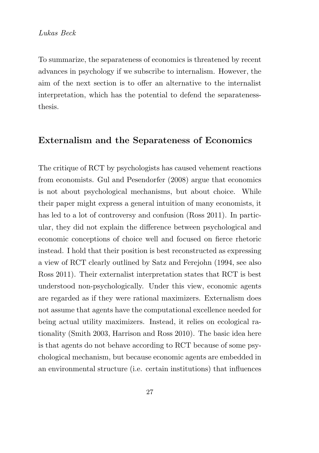To summarize, the separateness of economics is threatened by recent advances in psychology if we subscribe to internalism. However, the aim of the next section is to offer an alternative to the internalist interpretation, which has the potential to defend the separatenessthesis.

### Externalism and the Separateness of Economics

The critique of RCT by psychologists has caused vehement reactions from economists. Gul and Pesendorfer (2008) argue that economics is not about psychological mechanisms, but about choice. While their paper might express a general intuition of many economists, it has led to a lot of controversy and confusion (Ross 2011). In particular, they did not explain the difference between psychological and economic conceptions of choice well and focused on fierce rhetoric instead. I hold that their position is best reconstructed as expressing a view of RCT clearly outlined by Satz and Ferejohn (1994, see also Ross 2011). Their externalist interpretation states that RCT is best understood non-psychologically. Under this view, economic agents are regarded as if they were rational maximizers. Externalism does not assume that agents have the computational excellence needed for being actual utility maximizers. Instead, it relies on ecological rationality (Smith 2003, Harrison and Ross 2010). The basic idea here is that agents do not behave according to RCT because of some psychological mechanism, but because economic agents are embedded in an environmental structure (i.e. certain institutions) that influences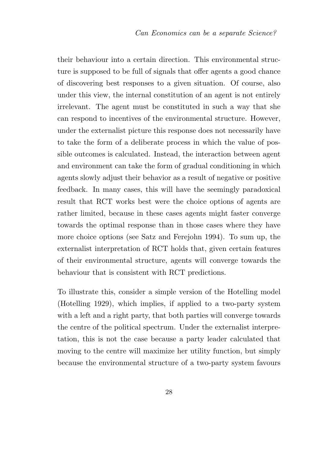their behaviour into a certain direction. This environmental structure is supposed to be full of signals that offer agents a good chance of discovering best responses to a given situation. Of course, also under this view, the internal constitution of an agent is not entirely irrelevant. The agent must be constituted in such a way that she can respond to incentives of the environmental structure. However, under the externalist picture this response does not necessarily have to take the form of a deliberate process in which the value of possible outcomes is calculated. Instead, the interaction between agent and environment can take the form of gradual conditioning in which agents slowly adjust their behavior as a result of negative or positive feedback. In many cases, this will have the seemingly paradoxical result that RCT works best were the choice options of agents are rather limited, because in these cases agents might faster converge towards the optimal response than in those cases where they have more choice options (see Satz and Ferejohn 1994). To sum up, the externalist interpretation of RCT holds that, given certain features of their environmental structure, agents will converge towards the behaviour that is consistent with RCT predictions.

To illustrate this, consider a simple version of the Hotelling model (Hotelling 1929), which implies, if applied to a two-party system with a left and a right party, that both parties will converge towards the centre of the political spectrum. Under the externalist interpretation, this is not the case because a party leader calculated that moving to the centre will maximize her utility function, but simply because the environmental structure of a two-party system favours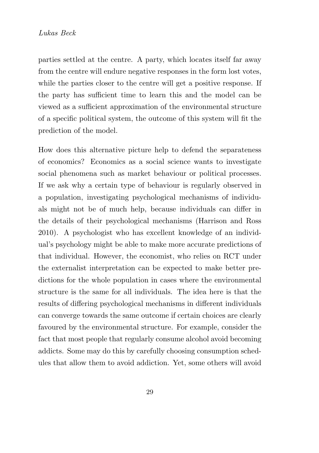parties settled at the centre. A party, which locates itself far away from the centre will endure negative responses in the form lost votes, while the parties closer to the centre will get a positive response. If the party has sufficient time to learn this and the model can be viewed as a sufficient approximation of the environmental structure of a specific political system, the outcome of this system will fit the prediction of the model.

How does this alternative picture help to defend the separateness of economics? Economics as a social science wants to investigate social phenomena such as market behaviour or political processes. If we ask why a certain type of behaviour is regularly observed in a population, investigating psychological mechanisms of individuals might not be of much help, because individuals can differ in the details of their psychological mechanisms (Harrison and Ross 2010). A psychologist who has excellent knowledge of an individual's psychology might be able to make more accurate predictions of that individual. However, the economist, who relies on RCT under the externalist interpretation can be expected to make better predictions for the whole population in cases where the environmental structure is the same for all individuals. The idea here is that the results of differing psychological mechanisms in different individuals can converge towards the same outcome if certain choices are clearly favoured by the environmental structure. For example, consider the fact that most people that regularly consume alcohol avoid becoming addicts. Some may do this by carefully choosing consumption schedules that allow them to avoid addiction. Yet, some others will avoid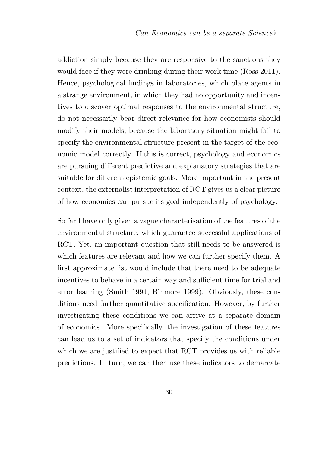addiction simply because they are responsive to the sanctions they would face if they were drinking during their work time (Ross 2011). Hence, psychological findings in laboratories, which place agents in a strange environment, in which they had no opportunity and incentives to discover optimal responses to the environmental structure, do not necessarily bear direct relevance for how economists should modify their models, because the laboratory situation might fail to specify the environmental structure present in the target of the economic model correctly. If this is correct, psychology and economics are pursuing different predictive and explanatory strategies that are suitable for different epistemic goals. More important in the present context, the externalist interpretation of RCT gives us a clear picture of how economics can pursue its goal independently of psychology.

So far I have only given a vague characterisation of the features of the environmental structure, which guarantee successful applications of RCT. Yet, an important question that still needs to be answered is which features are relevant and how we can further specify them. A first approximate list would include that there need to be adequate incentives to behave in a certain way and sufficient time for trial and error learning (Smith 1994, Binmore 1999). Obviously, these conditions need further quantitative specification. However, by further investigating these conditions we can arrive at a separate domain of economics. More specifically, the investigation of these features can lead us to a set of indicators that specify the conditions under which we are justified to expect that RCT provides us with reliable predictions. In turn, we can then use these indicators to demarcate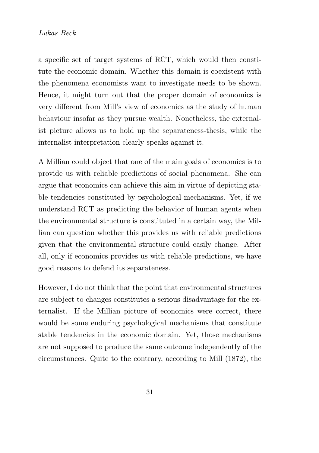a specific set of target systems of RCT, which would then constitute the economic domain. Whether this domain is coexistent with the phenomena economists want to investigate needs to be shown. Hence, it might turn out that the proper domain of economics is very different from Mill's view of economics as the study of human behaviour insofar as they pursue wealth. Nonetheless, the externalist picture allows us to hold up the separateness-thesis, while the internalist interpretation clearly speaks against it.

A Millian could object that one of the main goals of economics is to provide us with reliable predictions of social phenomena. She can argue that economics can achieve this aim in virtue of depicting stable tendencies constituted by psychological mechanisms. Yet, if we understand RCT as predicting the behavior of human agents when the environmental structure is constituted in a certain way, the Millian can question whether this provides us with reliable predictions given that the environmental structure could easily change. After all, only if economics provides us with reliable predictions, we have good reasons to defend its separateness.

However, I do not think that the point that environmental structures are subject to changes constitutes a serious disadvantage for the externalist. If the Millian picture of economics were correct, there would be some enduring psychological mechanisms that constitute stable tendencies in the economic domain. Yet, those mechanisms are not supposed to produce the same outcome independently of the circumstances. Quite to the contrary, according to Mill (1872), the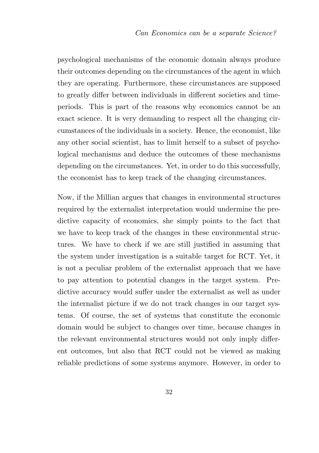psychological mechanisms of the economic domain always produce their outcomes depending on the circumstances of the agent in which they are operating. Furthermore, these circumstances are supposed to greatly differ between individuals in different societies and timeperiods. This is part of the reasons why economics cannot be an exact science. It is very demanding to respect all the changing circumstances of the individuals in a society. Hence, the economist, like any other social scientist, has to limit herself to a subset of psychological mechanisms and deduce the outcomes of these mechanisms depending on the circumstances. Yet, in order to do this successfully, the economist has to keep track of the changing circumstances.

Now, if the Millian argues that changes in environmental structures required by the externalist interpretation would undermine the predictive capacity of economics, she simply points to the fact that we have to keep track of the changes in these environmental structures. We have to check if we are still justified in assuming that the system under investigation is a suitable target for RCT. Yet, it is not a peculiar problem of the externalist approach that we have to pay attention to potential changes in the target system. Predictive accuracy would suffer under the externalist as well as under the internalist picture if we do not track changes in our target systems. Of course, the set of systems that constitute the economic domain would be subject to changes over time, because changes in the relevant environmental structures would not only imply different outcomes, but also that RCT could not be viewed as making reliable predictions of some systems anymore. However, in order to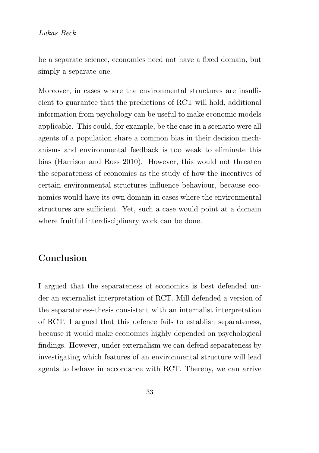be a separate science, economics need not have a fixed domain, but simply a separate one.

Moreover, in cases where the environmental structures are insufficient to guarantee that the predictions of RCT will hold, additional information from psychology can be useful to make economic models applicable. This could, for example, be the case in a scenario were all agents of a population share a common bias in their decision mechanisms and environmental feedback is too weak to eliminate this bias (Harrison and Ross 2010). However, this would not threaten the separateness of economics as the study of how the incentives of certain environmental structures influence behaviour, because economics would have its own domain in cases where the environmental structures are sufficient. Yet, such a case would point at a domain where fruitful interdisciplinary work can be done.

## Conclusion

I argued that the separateness of economics is best defended under an externalist interpretation of RCT. Mill defended a version of the separateness-thesis consistent with an internalist interpretation of RCT. I argued that this defence fails to establish separateness, because it would make economics highly depended on psychological findings. However, under externalism we can defend separateness by investigating which features of an environmental structure will lead agents to behave in accordance with RCT. Thereby, we can arrive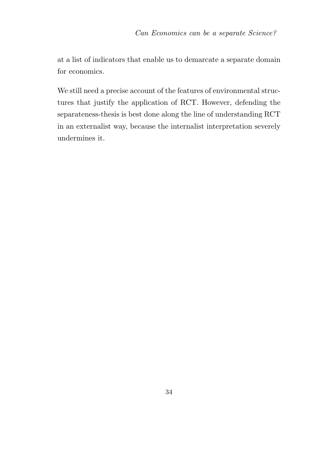at a list of indicators that enable us to demarcate a separate domain for economics.

We still need a precise account of the features of environmental structures that justify the application of RCT. However, defending the separateness-thesis is best done along the line of understanding RCT in an externalist way, because the internalist interpretation severely undermines it.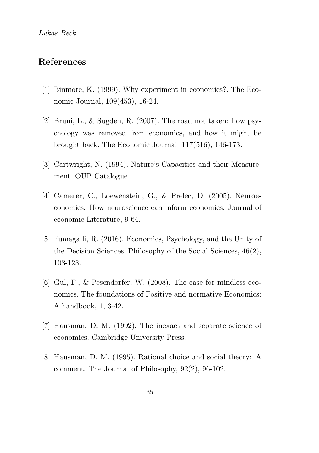# References

- [1] Binmore, K. (1999). Why experiment in economics?. The Economic Journal, 109(453), 16-24.
- [2] Bruni, L., & Sugden, R. (2007). The road not taken: how psychology was removed from economics, and how it might be brought back. The Economic Journal, 117(516), 146-173.
- [3] Cartwright, N. (1994). Nature's Capacities and their Measurement. OUP Catalogue.
- [4] Camerer, C., Loewenstein, G., & Prelec, D. (2005). Neuroeconomics: How neuroscience can inform economics. Journal of economic Literature, 9-64.
- [5] Fumagalli, R. (2016). Economics, Psychology, and the Unity of the Decision Sciences. Philosophy of the Social Sciences, 46(2), 103-128.
- [6] Gul, F., & Pesendorfer, W. (2008). The case for mindless economics. The foundations of Positive and normative Economics: A handbook, 1, 3-42.
- [7] Hausman, D. M. (1992). The inexact and separate science of economics. Cambridge University Press.
- [8] Hausman, D. M. (1995). Rational choice and social theory: A comment. The Journal of Philosophy, 92(2), 96-102.